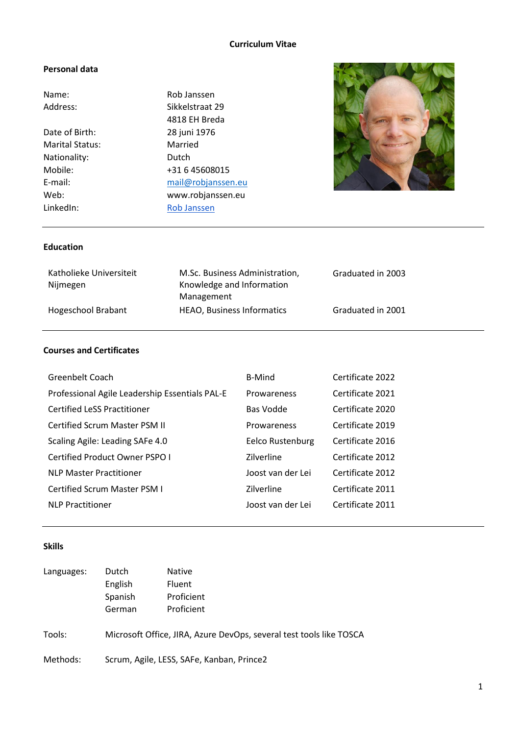# **Curriculum Vitae**

#### **Personal data**

| Name:                  | Rob Janssen        |
|------------------------|--------------------|
| Address:               | Sikkelstraat 29    |
|                        | 4818 EH Breda      |
| Date of Birth:         | 28 juni 1976       |
| <b>Marital Status:</b> | Married            |
| Nationality:           | Dutch              |
| Mobile:                | +31 6 45608015     |
| E-mail:                | mail@robjanssen.eu |
| Web:                   | www.robjanssen.eu  |
| LinkedIn:              | <b>Rob Janssen</b> |



# **Education**

| Katholieke Universiteit<br>Nijmegen | M.Sc. Business Administration,<br>Knowledge and Information | Graduated in 2003 |
|-------------------------------------|-------------------------------------------------------------|-------------------|
|                                     | Management                                                  |                   |
| Hogeschool Brabant                  | <b>HEAO, Business Informatics</b>                           | Graduated in 2001 |

# **Courses and Certificates**

| Greenbelt Coach                                | <b>B-Mind</b>     | Certificate 2022 |
|------------------------------------------------|-------------------|------------------|
| Professional Agile Leadership Essentials PAL-E | Prowareness       | Certificate 2021 |
| <b>Certified LeSS Practitioner</b>             | Bas Vodde         | Certificate 2020 |
| <b>Certified Scrum Master PSM II</b>           | Prowareness       | Certificate 2019 |
| Scaling Agile: Leading SAFe 4.0                | Eelco Rustenburg  | Certificate 2016 |
| Certified Product Owner PSPO I                 | Zilverline        | Certificate 2012 |
| <b>NLP Master Practitioner</b>                 | Joost van der Lei | Certificate 2012 |
| <b>Certified Scrum Master PSM I</b>            | Zilverline        | Certificate 2011 |
| <b>NLP Practitioner</b>                        | Joost van der Lei | Certificate 2011 |

## **Skills**

| Languages: | Dutch<br>English<br>Spanish<br>German | <b>Native</b><br>Fluent<br>Proficient<br>Proficient                 |
|------------|---------------------------------------|---------------------------------------------------------------------|
| Tools:     |                                       | Microsoft Office, JIRA, Azure DevOps, several test tools like TOSCA |
| Methods:   |                                       | Scrum, Agile, LESS, SAFe, Kanban, Prince2                           |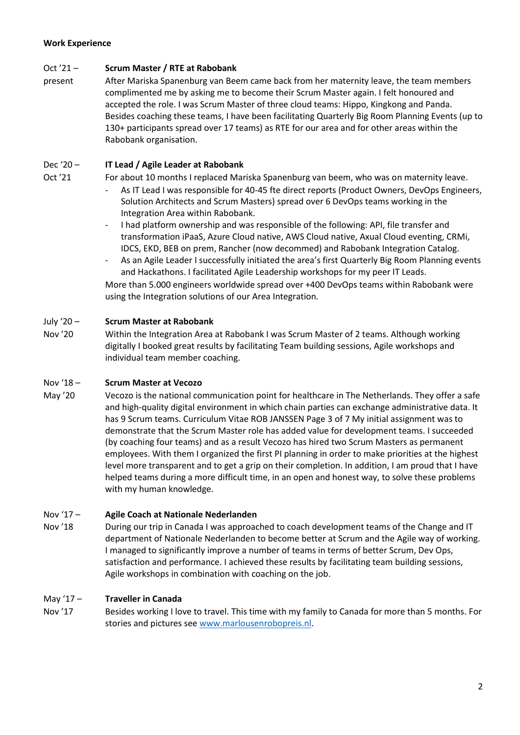## **Work Experience**

## Oct '21 – **Scrum Master / RTE at Rabobank**

present After Mariska Spanenburg van Beem came back from her maternity leave, the team members complimented me by asking me to become their Scrum Master again. I felt honoured and accepted the role. I was Scrum Master of three cloud teams: Hippo, Kingkong and Panda. Besides coaching these teams, I have been facilitating Quarterly Big Room Planning Events (up to 130+ participants spread over 17 teams) as RTE for our area and for other areas within the Rabobank organisation.

## Dec '20 – **IT Lead / Agile Leader at Rabobank**

- Oct '21 For about 10 months I replaced Mariska Spanenburg van beem, who was on maternity leave.
	- As IT Lead I was responsible for 40-45 fte direct reports (Product Owners, DevOps Engineers, Solution Architects and Scrum Masters) spread over 6 DevOps teams working in the Integration Area within Rabobank.
	- I had platform ownership and was responsible of the following: API, file transfer and transformation iPaaS, Azure Cloud native, AWS Cloud native, Axual Cloud eventing, CRMi, IDCS, EKD, BEB on prem, Rancher (now decommed) and Rabobank Integration Catalog.
	- As an Agile Leader I successfully initiated the area's first Quarterly Big Room Planning events and Hackathons. I facilitated Agile Leadership workshops for my peer IT Leads.

More than 5.000 engineers worldwide spread over +400 DevOps teams within Rabobank were using the Integration solutions of our Area Integration.

#### July '20 – **Scrum Master at Rabobank**

Nov '20 Within the Integration Area at Rabobank I was Scrum Master of 2 teams. Although working digitally I booked great results by facilitating Team building sessions, Agile workshops and individual team member coaching.

## Nov '18 – **Scrum Master at Vecozo**

May '20 Vecozo is the national communication point for healthcare in The Netherlands. They offer a safe and high-quality digital environment in which chain parties can exchange administrative data. It has 9 Scrum teams. Curriculum Vitae ROB JANSSEN Page 3 of 7 My initial assignment was to demonstrate that the Scrum Master role has added value for development teams. I succeeded (by coaching four teams) and as a result Vecozo has hired two Scrum Masters as permanent employees. With them I organized the first PI planning in order to make priorities at the highest level more transparent and to get a grip on their completion. In addition, I am proud that I have helped teams during a more difficult time, in an open and honest way, to solve these problems with my human knowledge.

#### Nov '17 – **Agile Coach at Nationale Nederlanden**

Nov '18 During our trip in Canada I was approached to coach development teams of the Change and IT department of Nationale Nederlanden to become better at Scrum and the Agile way of working. I managed to significantly improve a number of teams in terms of better Scrum, Dev Ops, satisfaction and performance. I achieved these results by facilitating team building sessions, Agile workshops in combination with coaching on the job.

#### May '17 – **Traveller in Canada**

Nov '17 Besides working I love to travel. This time with my family to Canada for more than 5 months. For stories and pictures se[e www.marlousenrobopreis.nl.](http://www.marlousenrobopreis.nl/)